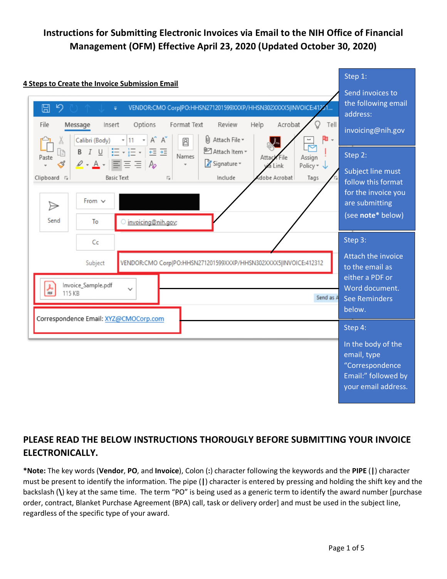

### **PLEASE READ THE BELOW INSTRUCTIONS THOROUGLY BEFORE SUBMITTING YOUR INVOICE ELECTRONICALLY.**

**\*Note:** The key words (**Vendor**, **PO**, and **Invoice**), Colon (**:**) character following the keywords and the **PIPE** (**|**) character must be present to identify the information. The pipe (**|**) character is entered by pressing and holding the shift key and the backslash (**\**) key at the same time. The term "PO" is being used as a generic term to identify the award number [purchase order, contract, Blanket Purchase Agreement (BPA) call, task or delivery order] and must be used in the subject line, regardless of the specific type of your award.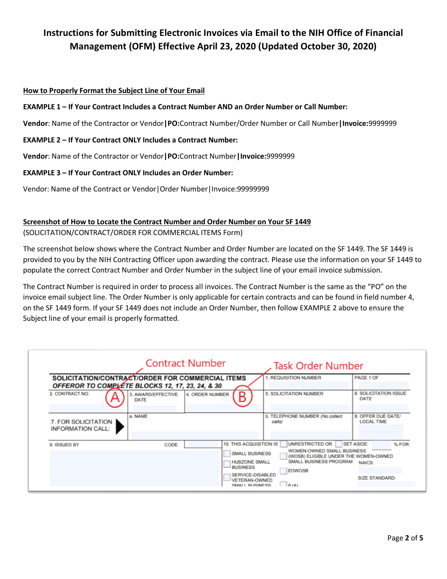#### **How to Properly Format the Subject Line of Your Email**

#### **EXAMPLE 1 – If Your Contract Includes a Contract Number AND an Order Number or Call Number:**

**Vendor**: Name of the Contractor or Vendor**|PO:**Contract Number/Order Number or Call Number**|Invoice:**9999999

#### **EXAMPLE 2 – If Your Contract ONLY Includes a Contract Number:**

**Vendor**: Name of the Contractor or Vendor**|PO:**Contract Number**|Invoice:**9999999

#### **EXAMPLE 3 – If Your Contract ONLY Includes an Order Number:**

Vendor: Name of the Contract or Vendor|Order Number|Invoice:99999999

### **Screenshot of How to Locate the Contract Number and Order Number on Your SF 1449**

(SOLICITATION/CONTRACT/ORDER FOR COMMERCIAL ITEMS Form)

The screenshot below shows where the Contract Number and Order Number are located on the SF 1449. The SF 1449 is provided to you by the NIH Contracting Officer upon awarding the contract. Please use the information on your SF 1449 to populate the correct Contract Number and Order Number in the subject line of your email invoice submission.

The Contract Number is required in order to process all invoices. The Contract Number is the same as the "PO" on the invoice email subject line. The Order Number is only applicable for certain contracts and can be found in field number 4, on the SF 1449 form. If your SF 1449 does not include an Order Number, then follow EXAMPLE 2 above to ensure the Subject line of your email is properly formatted.

|                                                 |                                                                                                     | <b>Contract Number</b>                                                                | <b>Task Order Number</b>                                                                                                                                      |                                             |
|-------------------------------------------------|-----------------------------------------------------------------------------------------------------|---------------------------------------------------------------------------------------|---------------------------------------------------------------------------------------------------------------------------------------------------------------|---------------------------------------------|
|                                                 | SOLICITATION/CONTRACT/ORDER FOR COMMERCIAL ITEMS<br>OFFEROR TO COMPLÉTE BLOCKS 12, 17, 23, 24, & 30 |                                                                                       | 1. REQUISITION NUMBER                                                                                                                                         | PAGE 1 OF                                   |
| 2. CONTRACT NO.                                 | 3. AWARD/EFFECTIVE<br><b>DATE</b>                                                                   | <b>4. ORDER NUMBER</b><br>R                                                           | <b>5. SOLICITATION NUMBER</b>                                                                                                                                 | <b>6. SOLICITATION ISSUE</b><br><b>DATE</b> |
| 7. FOR SOLICITATION<br><b>INFORMATION CALL:</b> | a. NAME                                                                                             |                                                                                       | b. TELEPHONE NUMBER (No collect<br>calls)                                                                                                                     | 8. OFFER DUE DATE/<br><b>LOCAL TIME</b>     |
| 9. ISSUED BY                                    | CODE                                                                                                | <b>10. THIS ACQUISITION IS</b><br><b>SMALL BUSINESS</b><br><b>HUBZONE SMALL</b>       | UNRESTRICTED OR<br><b>SET ASIDE:</b><br><b>WOMEN-OWNED SMALL BUSINESS</b><br>(WOSB) ELIGIBLE UNDER THE WOMEN-OWNED<br><b>SMALL BUSINESS PROGRAM</b><br>NAICS: |                                             |
|                                                 |                                                                                                     | <b>BUSINESS</b><br><b>SERVICE-DISABLED</b><br><b>VETERAN-OWNED</b><br>SMALL BLISINESS | <b>EDWOSB</b><br>R(A)                                                                                                                                         | <b>SIZE STANDARD:</b>                       |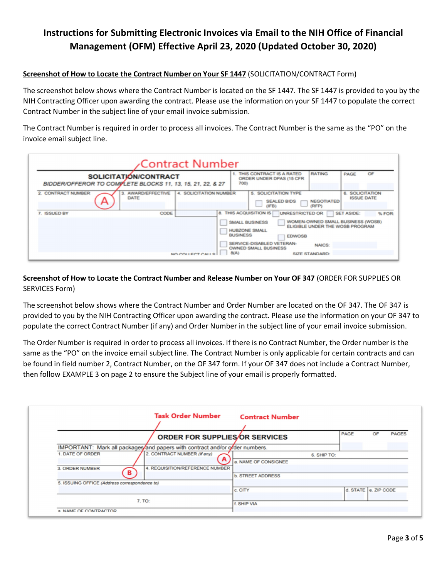### **Screenshot of How to Locate the Contract Number on Your SF 1447** (SOLICITATION/CONTRACT Form)

The screenshot below shows where the Contract Number is located on the SF 1447. The SF 1447 is provided to you by the NIH Contracting Officer upon awarding the contract. Please use the information on your SF 1447 to populate the correct Contract Number in the subject line of your email invoice submission.

The Contract Number is required in order to process all invoices. The Contract Number is the same as the "PO" on the invoice email subject line.

|                         | <b>Contract Number</b>                                                              |                                                                                                                                                                                                                                                                                                                                                     |
|-------------------------|-------------------------------------------------------------------------------------|-----------------------------------------------------------------------------------------------------------------------------------------------------------------------------------------------------------------------------------------------------------------------------------------------------------------------------------------------------|
|                         | SOLICITATION/CONTRACT<br>BIDDER/OFFEROR TO COMPLETE BLOCKS 11, 13, 15, 21, 22, & 27 | <b>RATING</b><br>THIS CONTRACT IS A RATED<br>OF<br>PAGE<br>ORDER UNDER DPAS (15 CFR)<br>700)                                                                                                                                                                                                                                                        |
| 2. CONTRACT NUMBER<br>∼ | <b>AWARD/EFFECTIVE</b><br><b>4. SOLICITATION NUMBER</b><br>3.<br>DATE               | <b>SOLICITATION TYPE</b><br><b>6. SOLICITATION</b><br>S.<br><b>ISSUE DATE</b><br><b>NEGOTIATED</b><br><b>SEALED BIDS</b><br>(RFP)<br>(IFB)                                                                                                                                                                                                          |
| 7. ISSUED BY            | CODE<br>NO COLLECT CALLS                                                            | 8. THIS ACQUISITION IS<br><b>UNRESTRICTED OR</b><br><b>SET ASIDE:</b><br>% FOR:<br>WOMEN-OWNED SMALL BUSINESS (WOSB)<br><b>SMALL BUSINESS</b><br>ELIGIBLE UNDER THE WOSB PROGRAM<br><b>HUBZONE SMALL</b><br><b>BUSINESS</b><br><b>EDWOSB</b><br>SERVICE-DISABLED VETERAN-<br><b>NAICS:</b><br><b>OWNED SMALL BUSINESS</b><br>B(A)<br>SIZE STANDARD: |

### **Screenshot of How to Locate the Contract Number and Release Number on Your OF 347** (ORDER FOR SUPPLIES OR SERVICES Form)

The screenshot below shows where the Contract Number and Order Number are located on the OF 347. The OF 347 is provided to you by the NIH Contracting Officer upon awarding the contract. Please use the information on your OF 347 to populate the correct Contract Number (if any) and Order Number in the subject line of your email invoice submission.

The Order Number is required in order to process all invoices. If there is no Contract Number, the Order number is the same as the "PO" on the invoice email subject line. The Contract Number is only applicable for certain contracts and can be found in field number 2, Contract Number, on the OF 347 form. If your OF 347 does not include a Contract Number, then follow EXAMPLE 3 on page 2 to ensure the Subject line of your email is properly formatted.

|                                                                              | <b>Task Order Number</b>              | <b>Contract Number</b>              |                      |    |              |
|------------------------------------------------------------------------------|---------------------------------------|-------------------------------------|----------------------|----|--------------|
|                                                                              | <b>ORDER FOR SUPPLIES/OR SERVICES</b> |                                     | <b>PAGE</b>          | OF | <b>PAGES</b> |
| IMPORTANT: Mark all packages/and papers with contract and/or of der numbers. |                                       |                                     |                      |    |              |
| 1. DATE OF ORDER                                                             | 2. CONTRACT NUMBER (If any)<br>A      | 6. SHIP TO:<br>a. NAME OF CONSIGNEE |                      |    |              |
| 3. ORDER NUMBER<br>в                                                         | 4. REQUISITION/REFERENCE NUMBER       | <b>b. STREET ADDRESS</b>            |                      |    |              |
| 5. ISSUING OFFICE (Address correspondence to)                                |                                       |                                     |                      |    |              |
|                                                                              |                                       | c. CITY                             | d. STATE e. ZIP CODE |    |              |
| 7. TO:                                                                       |                                       | f. SHIP VIA                         |                      |    |              |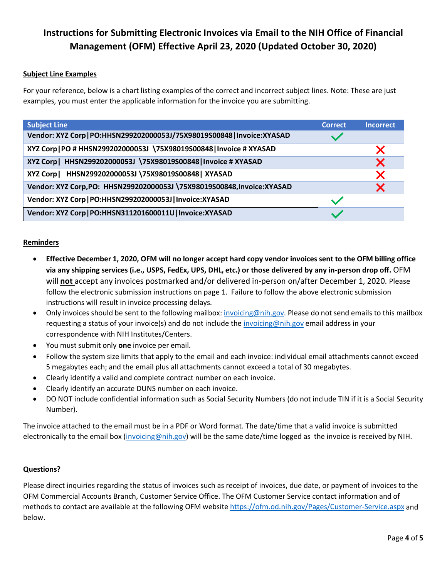### **Subject Line Examples**

For your reference, below is a chart listing examples of the correct and incorrect subject lines. Note: These are just examples, you must enter the applicable information for the invoice you are submitting.

| <b>Subject Line</b>                                                      | <b>Correct</b> | <b>Incorrect</b> |
|--------------------------------------------------------------------------|----------------|------------------|
| Vendor: XYZ Corp   PO:HHSN299202000053J/75X98019S00848   Invoice: XYASAD |                |                  |
| XYZ Corp   PO # HHSN299202000053J \75X98019S00848   Invoice # XYASAD     |                | Х                |
| XYZ Corp   HHSN299202000053J \75X98019S00848   Invoice # XYASAD          |                | X                |
| XYZ Corp   HHSN299202000053J \75X98019S00848   XYASAD                    |                | Х                |
| Vendor: XYZ Corp, PO: HHSN299202000053J \75X98019S00848, Invoice: XYASAD |                | Х                |
| Vendor: XYZ Corp   PO:HHSN299202000053J   Invoice: XYASAD                |                |                  |
| Vendor: XYZ Corp   PO:HHSN311201600011U   Invoice: XYASAD                |                |                  |

#### **Reminders**

- **Effective December 1, 2020, OFM will no longer accept hard copy vendor invoices sent to the OFM billing office via any shipping services (i.e., USPS, FedEx, UPS, DHL, etc.) or those delivered by any in-person drop off.** OFM will **not** accept any invoices postmarked and/or delivered in-person on/after December 1, 2020. Please follow the electronic submission instructions on page 1. Failure to follow the above electronic submission instructions will result in invoice processing delays.
- Only invoices should be sent to the following mailbox: [invoicing@nih.gov.](mailto:invoicing@nih.gov) Please do not send emails to this mailbox requesting a status of your invoice(s) and do not include the *invoicing@nih.gov* email address in your correspondence with NIH Institutes/Centers.
- You must submit only **one** invoice per email.
- Follow the system size limits that apply to the email and each invoice: individual email attachments cannot exceed 5 megabytes each; and the email plus all attachments cannot exceed a total of 30 megabytes.
- Clearly identify a valid and complete contract number on each invoice.
- Clearly identify an accurate DUNS number on each invoice.
- DO NOT include confidential information such as Social Security Numbers (do not include TIN if it is a Social Security Number).

The invoice attached to the email must be in a PDF or Word format. The date/time that a valid invoice is submitted electronically to the email box [\(invoicing@nih.gov\)](mailto:invoicing@nih.gov) will be the same date/time logged as the invoice is received by NIH.

#### **Questions?**

Please direct inquiries regarding the status of invoices such as receipt of invoices, due date, or payment of invoices to the OFM Commercial Accounts Branch, Customer Service Office. The OFM Customer Service contact information and of methods to contact are available at the following OFM website<https://ofm.od.nih.gov/Pages/Customer-Service.aspx> and below.